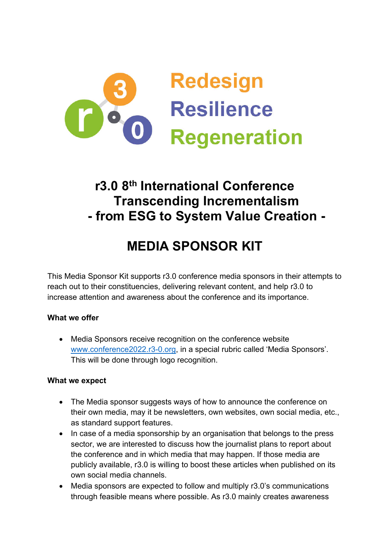

## **r3.0 8th International Conference Transcending Incrementalism - from ESG to System Value Creation -**

# **MEDIA SPONSOR KIT**

This Media Sponsor Kit supports r3.0 conference media sponsors in their attempts to reach out to their constituencies, delivering relevant content, and help r3.0 to increase attention and awareness about the conference and its importance.

## **What we offer**

• Media Sponsors receive recognition on the conference website www.conference2022.r3-0.org, in a special rubric called 'Media Sponsors'. This will be done through logo recognition.

#### **What we expect**

- The Media sponsor suggests ways of how to announce the conference on their own media, may it be newsletters, own websites, own social media, etc., as standard support features.
- In case of a media sponsorship by an organisation that belongs to the press sector, we are interested to discuss how the journalist plans to report about the conference and in which media that may happen. If those media are publicly available, r3.0 is willing to boost these articles when published on its own social media channels.
- Media sponsors are expected to follow and multiply r3.0's communications through feasible means where possible. As r3.0 mainly creates awareness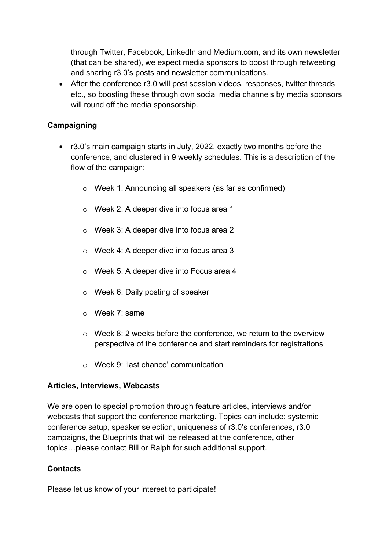through Twitter, Facebook, LinkedIn and Medium.com, and its own newsletter (that can be shared), we expect media sponsors to boost through retweeting and sharing r3.0's posts and newsletter communications.

• After the conference r3.0 will post session videos, responses, twitter threads etc., so boosting these through own social media channels by media sponsors will round off the media sponsorship.

## **Campaigning**

- r3.0's main campaign starts in July, 2022, exactly two months before the conference, and clustered in 9 weekly schedules. This is a description of the flow of the campaign:
	- o Week 1: Announcing all speakers (as far as confirmed)
	- o Week 2: A deeper dive into focus area 1
	- o Week 3: A deeper dive into focus area 2
	- o Week 4: A deeper dive into focus area 3
	- o Week 5: A deeper dive into Focus area 4
	- o Week 6: Daily posting of speaker
	- o Week 7: same
	- $\circ$  Week 8: 2 weeks before the conference, we return to the overview perspective of the conference and start reminders for registrations
	- o Week 9: 'last chance' communication

#### **Articles, Interviews, Webcasts**

We are open to special promotion through feature articles, interviews and/or webcasts that support the conference marketing. Topics can include: systemic conference setup, speaker selection, uniqueness of r3.0's conferences, r3.0 campaigns, the Blueprints that will be released at the conference, other topics…please contact Bill or Ralph for such additional support.

#### **Contacts**

Please let us know of your interest to participate!